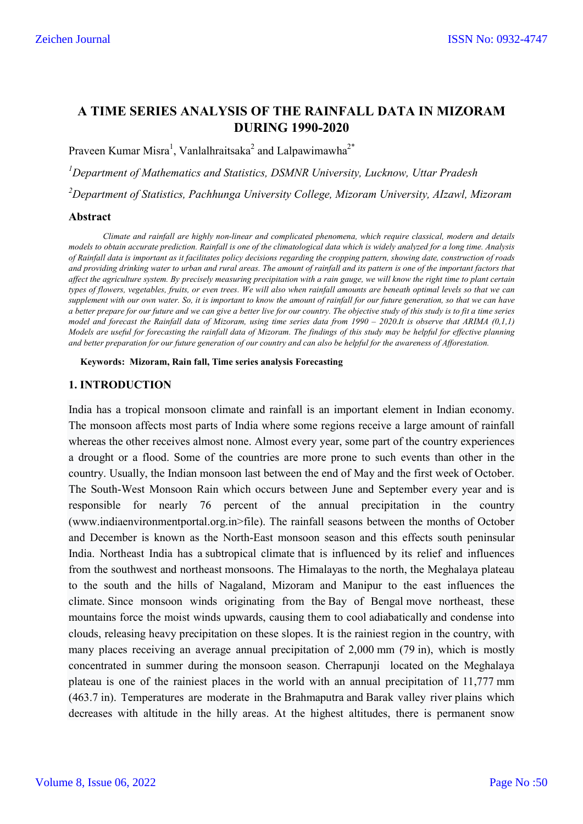# **A TIME SERIES ANALYSIS OF THE RAINFALL DATA IN MIZORAM DURING 1990-2020**

Praveen Kumar Misra<sup>1</sup>, Vanlalhraitsaka<sup>2</sup> and Lalpawimawha<sup>2\*</sup>

*1 Department of Mathematics and Statistics, DSMNR University, Lucknow, Uttar Pradesh*

*2 Department of Statistics, Pachhunga University College, Mizoram University, AIzawl, Mizoram*

#### **Abstract**

*Climate and rainfall are highly non-linear and complicated phenomena, which require classical, modern and details models to obtain accurate prediction. Rainfall is one of the climatological data which is widely analyzed for a long time. Analysis of Rainfall data is important as it facilitates policy decisions regarding the cropping pattern, showing date, construction of roads and providing drinking water to urban and rural areas. The amount of rainfall and its pattern is one of the important factors that affect the agriculture system. By precisely measuring precipitation with a rain gauge, we will know the right time to plant certain types of flowers, vegetables, fruits, or even trees. We will also when rainfall amounts are beneath optimal levels so that we can supplement with our own water. So, it is important to know the amount of rainfall for our future generation, so that we can have a better prepare for our future and we can give a better live for our country. The objective study of this study is to fit a time series model and forecast the Rainfall data of Mizoram, using time series data from 1990 – 2020.It is observe that ARIMA (0,1,1) Models are useful for forecasting the rainfall data of Mizoram. The findings of this study may be helpful for effective planning and better preparation for our future generation of our country and can also be helpful for the awareness of Afforestation.* 

**Keywords: Mizoram, Rain fall, Time series analysis Forecasting**

### **1. INTRODUCTION**

India has a tropical monsoon climate and rainfall is an important element in Indian economy. The monsoon affects most parts of India where some regions receive a large amount of rainfall whereas the other receives almost none. Almost every year, some part of the country experiences a drought or a flood. Some of the countries are more prone to such events than other in the country. Usually, the Indian monsoon last between the end of May and the first week of October. The South-West Monsoon Rain which occurs between June and September every year and is responsible for nearly 76 percent of the annual precipitation in the country (www.indiaenvironmentportal.org.in>file). The rainfall seasons between the months of October and December is known as the North-East monsoon season and this effects south peninsular India. Northeast India has a subtropical climate that is influenced by its relief and influences from the southwest and northeast monsoons. The Himalayas to the north, the Meghalaya plateau to the south and the hills of Nagaland, Mizoram and Manipur to the east influences the climate. Since monsoon winds originating from the Bay of Bengal move northeast, these mountains force the moist winds upwards, causing them to cool adiabatically and condense into clouds, releasing heavy precipitation on these slopes. It is the rainiest region in the country, with many places receiving an average annual precipitation of 2,000 mm (79 in), which is mostly concentrated in summer during the monsoon season. Cherrapunji located on the Meghalaya plateau is one of the rainiest places in the world with an annual precipitation of 11,777 mm (463.7 in). Temperatures are moderate in the Brahmaputra and Barak valley river plains which decreases with altitude in the hilly areas. At the highest altitudes, there is permanent snow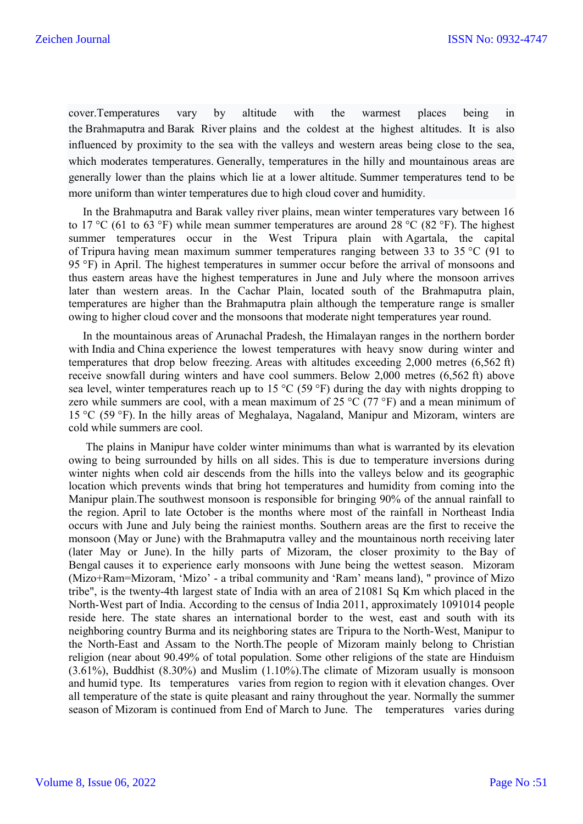cover.Temperatures vary by altitude with the warmest places being in the Brahmaputra and Barak River plains and the coldest at the highest altitudes. It is also influenced by proximity to the sea with the valleys and western areas being close to the sea, which moderates temperatures. Generally, temperatures in the hilly and mountainous areas are generally lower than the plains which lie at a lower altitude. Summer temperatures tend to be more uniform than winter temperatures due to high cloud cover and humidity.

 In the Brahmaputra and Barak valley river plains, mean winter temperatures vary between 16 to 17 °C (61 to 63 °F) while mean summer temperatures are around 28 °C (82 °F). The highest summer temperatures occur in the West Tripura plain with Agartala, the capital of Tripura having mean maximum summer temperatures ranging between 33 to 35 °C (91 to 95 °F) in April. The highest temperatures in summer occur before the arrival of monsoons and thus eastern areas have the highest temperatures in June and July where the monsoon arrives later than western areas. In the Cachar Plain, located south of the Brahmaputra plain, temperatures are higher than the Brahmaputra plain although the temperature range is smaller owing to higher cloud cover and the monsoons that moderate night temperatures year round.

 In the mountainous areas of Arunachal Pradesh, the Himalayan ranges in the northern border with India and China experience the lowest temperatures with heavy snow during winter and temperatures that drop below freezing. Areas with altitudes exceeding 2,000 metres (6,562 ft) receive snowfall during winters and have cool summers. Below 2,000 metres (6,562 ft) above sea level, winter temperatures reach up to 15 °C (59 °F) during the day with nights dropping to zero while summers are cool, with a mean maximum of 25 °C (77 °F) and a mean minimum of 15 °C (59 °F). In the hilly areas of Meghalaya, Nagaland, Manipur and Mizoram, winters are cold while summers are cool.

 The plains in Manipur have colder winter minimums than what is warranted by its elevation owing to being surrounded by hills on all sides. This is due to temperature inversions during winter nights when cold air descends from the hills into the valleys below and its geographic location which prevents winds that bring hot temperatures and humidity from coming into the Manipur plain.The southwest monsoon is responsible for bringing 90% of the annual rainfall to the region. April to late October is the months where most of the rainfall in Northeast India occurs with June and July being the rainiest months. Southern areas are the first to receive the monsoon (May or June) with the Brahmaputra valley and the mountainous north receiving later (later May or June). In the hilly parts of Mizoram, the closer proximity to the Bay of Bengal causes it to experience early monsoons with June being the wettest season. Mizoram (Mizo+Ram=Mizoram, 'Mizo' - a tribal community and 'Ram' means land), " province of Mizo tribe", is the twenty-4th largest state of India with an area of 21081 Sq Km which placed in the North-West part of India. According to the census of India 2011, approximately 1091014 people reside here. The state shares an international border to the west, east and south with its neighboring country Burma and its neighboring states are Tripura to the North-West, Manipur to the North-East and Assam to the North.The people of Mizoram mainly belong to Christian religion (near about 90.49% of total population. Some other religions of the state are Hinduism (3.61%), Buddhist (8.30%) and Muslim (1.10%).The climate of Mizoram usually is monsoon and humid type. Its temperatures varies from region to region with it elevation changes. Over all temperature of the state is quite pleasant and rainy throughout the year. Normally the summer season of Mizoram is continued from End of March to June. The temperatures varies during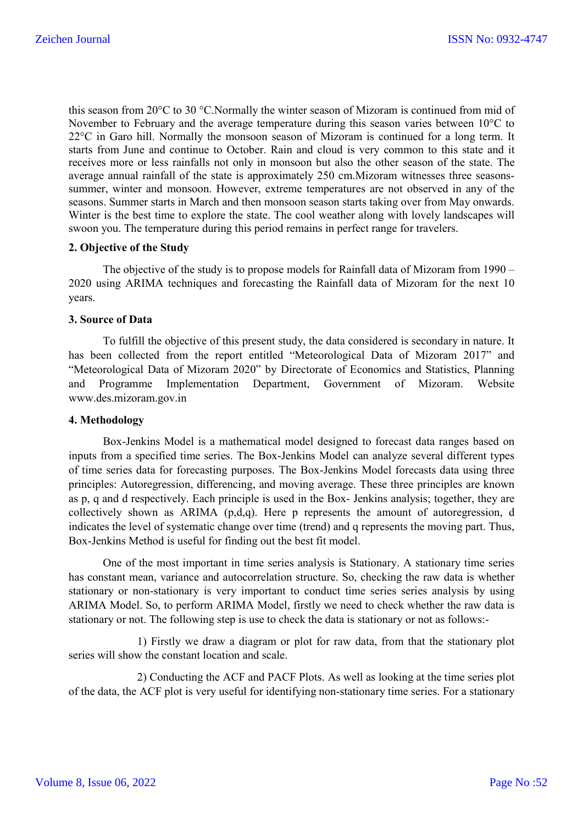this season from 20°C to 30 °C.Normally the winter season of Mizoram is continued from mid of November to February and the average temperature during this season varies between 10°C to 22°C in Garo hill. Normally the monsoon season of Mizoram is continued for a long term. It starts from June and continue to October. Rain and cloud is very common to this state and it receives more or less rainfalls not only in monsoon but also the other season of the state. The average annual rainfall of the state is approximately 250 cm.Mizoram witnesses three seasonssummer, winter and monsoon. However, extreme temperatures are not observed in any of the seasons. Summer starts in March and then monsoon season starts taking over from May onwards. Winter is the best time to explore the state. The cool weather along with lovely landscapes will swoon you. The temperature during this period remains in perfect range for travelers.

# **2. Objective of the Study**

The objective of the study is to propose models for Rainfall data of Mizoram from 1990 – 2020 using ARIMA techniques and forecasting the Rainfall data of Mizoram for the next 10 years.

### **3. Source of Data**

To fulfill the objective of this present study, the data considered is secondary in nature. It has been collected from the report entitled "Meteorological Data of Mizoram 2017" and "Meteorological Data of Mizoram 2020" by Directorate of Economics and Statistics, Planning and Programme Implementation Department, Government of Mizoram. Website www.des.mizoram.gov.in

### **4. Methodology**

Box-Jenkins Model is a mathematical model designed to forecast data ranges based on inputs from a specified time series. The Box-Jenkins Model can analyze several different types of time series data for forecasting purposes. The Box-Jenkins Model forecasts data using three principles: Autoregression, differencing, and moving average. These three principles are known as p, q and d respectively. Each principle is used in the Box- Jenkins analysis; together, they are collectively shown as ARIMA (p,d,q). Here p represents the amount of autoregression, d indicates the level of systematic change over time (trend) and q represents the moving part. Thus, Box-Jenkins Method is useful for finding out the best fit model.

One of the most important in time series analysis is Stationary. A stationary time series has constant mean, variance and autocorrelation structure. So, checking the raw data is whether stationary or non-stationary is very important to conduct time series series analysis by using ARIMA Model. So, to perform ARIMA Model, firstly we need to check whether the raw data is stationary or not. The following step is use to check the data is stationary or not as follows:-

1) Firstly we draw a diagram or plot for raw data, from that the stationary plot series will show the constant location and scale.

2) Conducting the ACF and PACF Plots. As well as looking at the time series plot of the data, the ACF plot is very useful for identifying non-stationary time series. For a stationary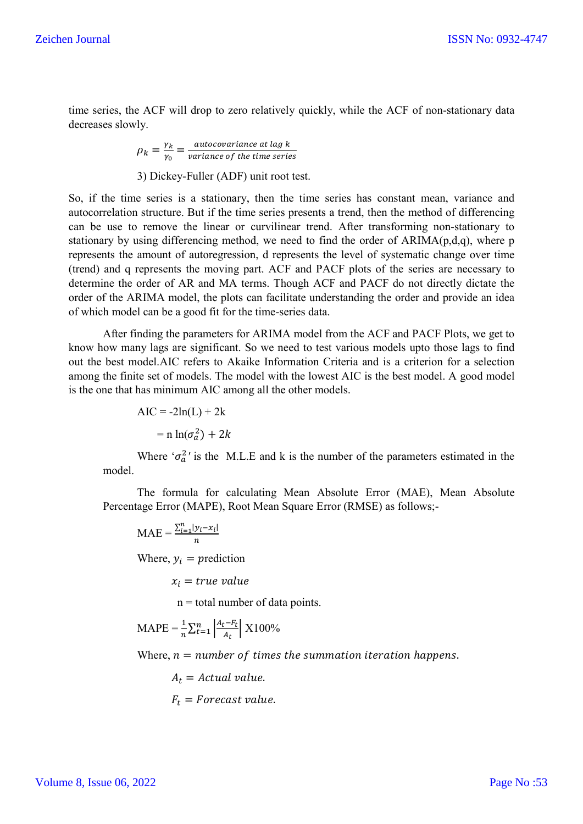time series, the ACF will drop to zero relatively quickly, while the ACF of non-stationary data decreases slowly.

$$
\rho_k = \frac{\gamma_k}{\gamma_0} = \frac{autocovariance \text{ at } \text{lag } k}{variance \text{ of the time series}}
$$

3) Dickey-Fuller (ADF) unit root test.

So, if the time series is a stationary, then the time series has constant mean, variance and autocorrelation structure. But if the time series presents a trend, then the method of differencing can be use to remove the linear or curvilinear trend. After transforming non-stationary to stationary by using differencing method, we need to find the order of ARIMA(p,d,q), where p represents the amount of autoregression, d represents the level of systematic change over time (trend) and q represents the moving part. ACF and PACF plots of the series are necessary to determine the order of AR and MA terms. Though ACF and PACF do not directly dictate the order of the ARIMA model, the plots can facilitate understanding the order and provide an idea of which model can be a good fit for the time-series data.

After finding the parameters for ARIMA model from the ACF and PACF Plots, we get to know how many lags are significant. So we need to test various models upto those lags to find out the best model.AIC refers to Akaike Information Criteria and is a criterion for a selection among the finite set of models. The model with the lowest AIC is the best model. A good model is the one that has minimum AIC among all the other models.

$$
AIC = -2ln(L) + 2k
$$

$$
= n ln(\sigma_a^2) + 2k
$$

Where  $\sigma_a^2$  is the M.L.E and k is the number of the parameters estimated in the model.

The formula for calculating Mean Absolute Error (MAE), Mean Absolute Percentage Error (MAPE), Root Mean Square Error (RMSE) as follows;-

$$
MAE = \frac{\sum_{i=1}^{n} |y_i - x_i|}{n}
$$

Where,  $y_i$  = prediction

 $x_i$  = true value

 $n =$  total number of data points.

$$
MAPE = \frac{1}{n} \sum_{t=1}^{n} \left| \frac{A_t - F_t}{A_t} \right| X100\%
$$

Where,  $n = number of times the summation iteration happens.$ 

 $A_t$  = Actual value.  $F_t$  = Forecast value.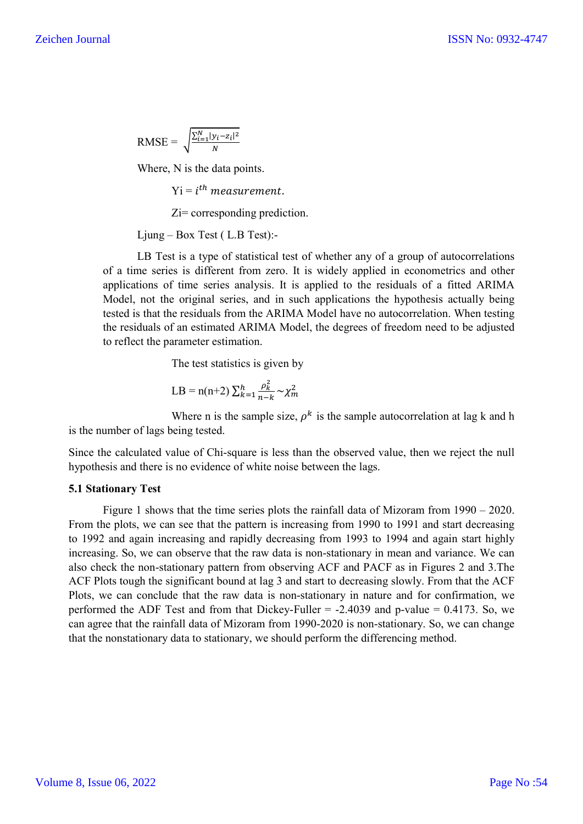$$
RMSE = \sqrt{\frac{\sum_{i=1}^{N} |y_i - z_i|^2}{N}}
$$

Where, N is the data points.

 $Yi = i$ <sup>th</sup> measurement.

Zi= corresponding prediction.

Ljung – Box Test ( L.B Test):-

LB Test is a type of statistical test of whether any of a group of autocorrelations of a time series is different from zero. It is widely applied in econometrics and other applications of time series analysis. It is applied to the residuals of a fitted ARIMA Model, not the original series, and in such applications the hypothesis actually being tested is that the residuals from the ARIMA Model have no autocorrelation. When testing the residuals of an estimated ARIMA Model, the degrees of freedom need to be adjusted to reflect the parameter estimation.

The test statistics is given by

$$
LB = n(n+2) \sum_{k=1}^{h} \frac{\rho_k^2}{n-k} \sim \chi_m^2
$$

Where n is the sample size,  $\rho^k$  is the sample autocorrelation at lag k and h is the number of lags being tested.

Since the calculated value of Chi-square is less than the observed value, then we reject the null hypothesis and there is no evidence of white noise between the lags.

### **5.1 Stationary Test**

Figure 1 shows that the time series plots the rainfall data of Mizoram from 1990 – 2020. From the plots, we can see that the pattern is increasing from 1990 to 1991 and start decreasing to 1992 and again increasing and rapidly decreasing from 1993 to 1994 and again start highly increasing. So, we can observe that the raw data is non-stationary in mean and variance. We can also check the non-stationary pattern from observing ACF and PACF as in Figures 2 and 3.The ACF Plots tough the significant bound at lag 3 and start to decreasing slowly. From that the ACF Plots, we can conclude that the raw data is non-stationary in nature and for confirmation, we performed the ADF Test and from that Dickey-Fuller  $= -2.4039$  and p-value  $= 0.4173$ . So, we can agree that the rainfall data of Mizoram from 1990-2020 is non-stationary. So, we can change that the nonstationary data to stationary, we should perform the differencing method.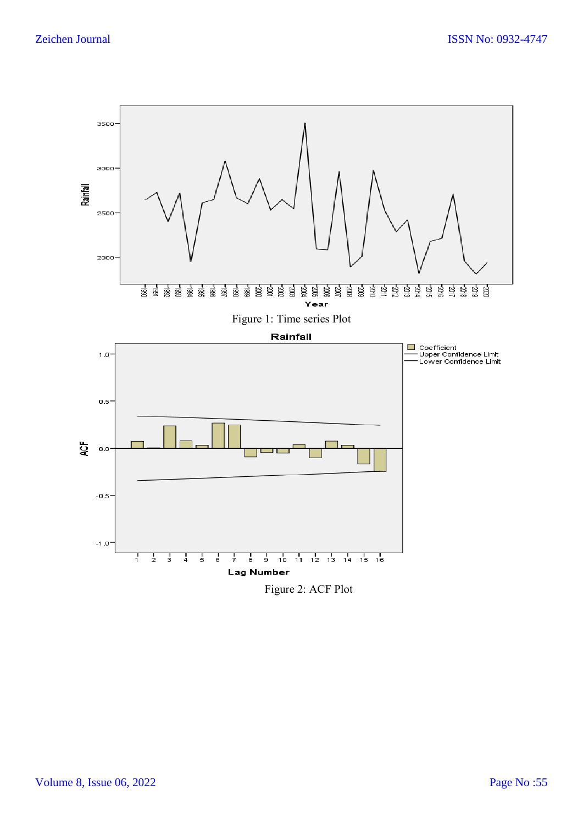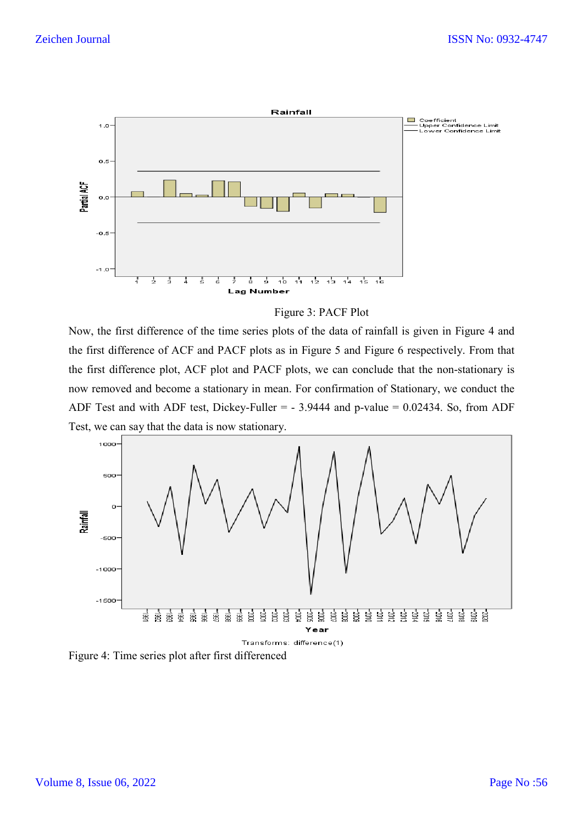

Figure 3: PACF Plot

Now, the first difference of the time series plots of the data of rainfall is given in Figure 4 and the first difference of ACF and PACF plots as in Figure 5 and Figure 6 respectively. From that the first difference plot, ACF plot and PACF plots, we can conclude that the non-stationary is now removed and become a stationary in mean. For confirmation of Stationary, we conduct the ADF Test and with ADF test, Dickey-Fuller = - 3.9444 and p-value = 0.02434. So, from ADF Test, we can say that the data is now stationary.



Figure 4: Time series plot after first differenced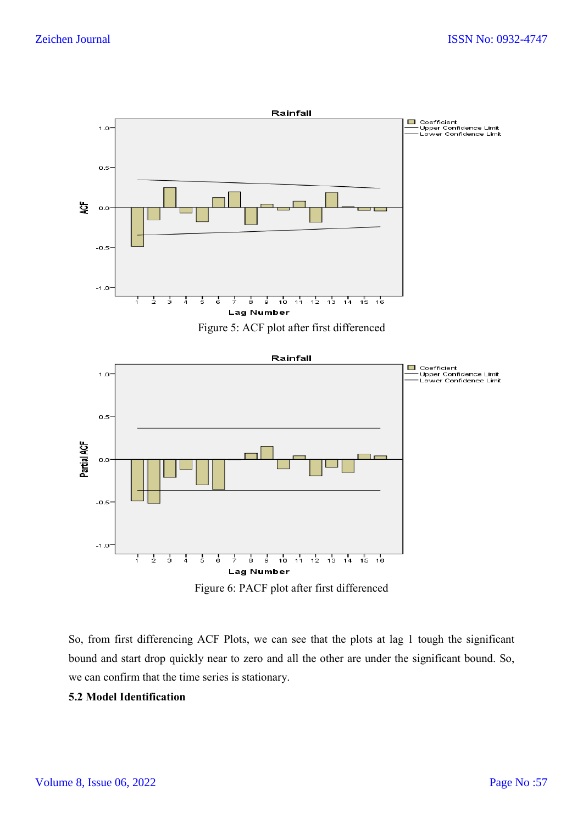

Lag Number Figure 6: PACF plot after first differenced

ģ,  $10^{-1}$   $\frac{1}{11}$   $\frac{1}{12}$   $\frac{1}{13}$   $\frac{1}{14}$   $\frac{1}{15}$   $\frac{1}{16}$ 

So, from first differencing ACF Plots, we can see that the plots at lag 1 tough the significant bound and start drop quickly near to zero and all the other are under the significant bound. So, we can confirm that the time series is stationary.

# **5.2 Model Identification**

7  $\frac{1}{2}$  $\frac{1}{3}$   $\frac{1}{4}$ 

ś Å ż å

 $-1.0$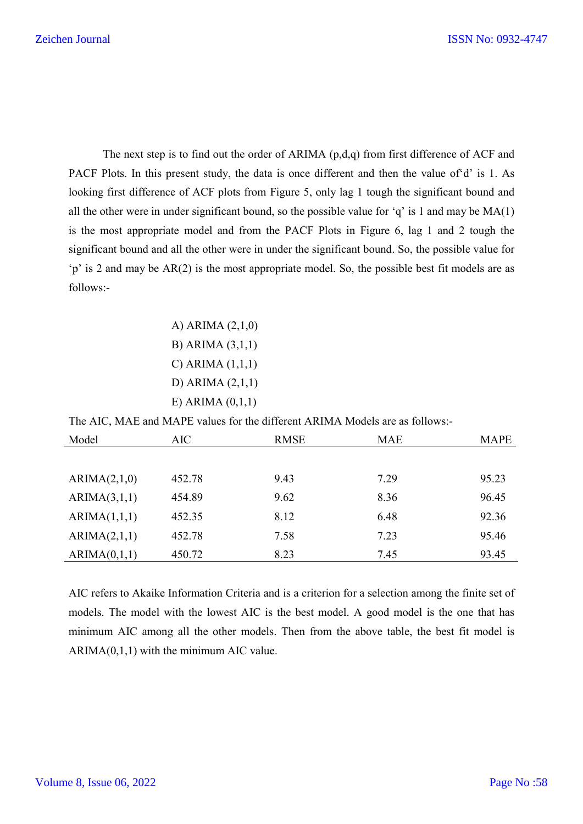The next step is to find out the order of ARIMA (p,d,q) from first difference of ACF and PACF Plots. In this present study, the data is once different and then the value of'd' is 1. As looking first difference of ACF plots from Figure 5, only lag 1 tough the significant bound and all the other were in under significant bound, so the possible value for 'q' is 1 and may be MA(1) is the most appropriate model and from the PACF Plots in Figure 6, lag 1 and 2 tough the significant bound and all the other were in under the significant bound. So, the possible value for 'p' is 2 and may be AR(2) is the most appropriate model. So, the possible best fit models are as follows:-

> A) ARIMA (2,1,0) B) ARIMA (3,1,1) C) ARIMA (1,1,1) D) ARIMA (2,1,1) E) ARIMA (0,1,1)

The AIC, MAE and MAPE values for the different ARIMA Models are as follows:-

| Model        | AIC    | <b>RMSE</b> | <b>MAE</b> | <b>MAPE</b> |
|--------------|--------|-------------|------------|-------------|
|              |        |             |            |             |
| ARIMA(2,1,0) | 452.78 | 9.43        | 7.29       | 95.23       |
| ARIMA(3,1,1) | 454.89 | 9.62        | 8.36       | 96.45       |
| ARIMA(1,1,1) | 452.35 | 8.12        | 6.48       | 92.36       |
| ARIMA(2,1,1) | 452.78 | 7.58        | 7.23       | 95.46       |
| ARIMA(0,1,1) | 450.72 | 8.23        | 7.45       | 93.45       |

AIC refers to Akaike Information Criteria and is a criterion for a selection among the finite set of models. The model with the lowest AIC is the best model. A good model is the one that has minimum AIC among all the other models. Then from the above table, the best fit model is  $ARIMA(0,1,1)$  with the minimum AIC value.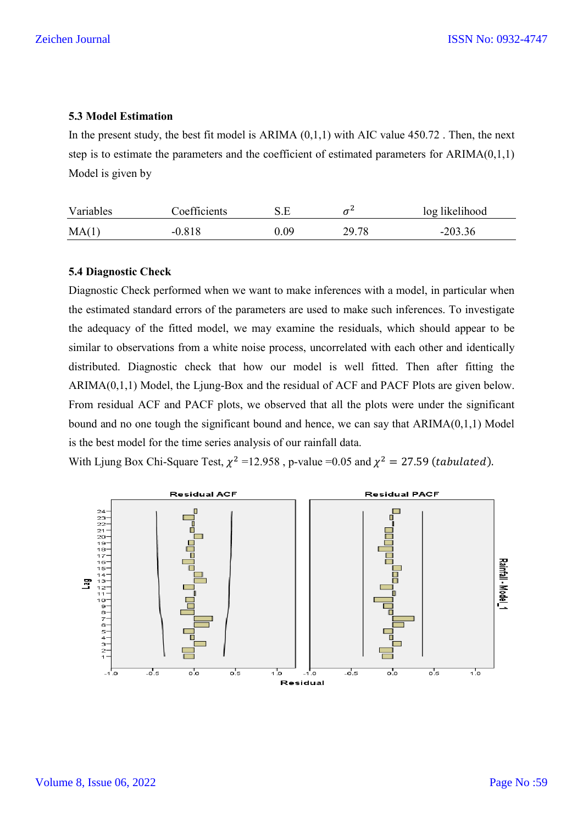## **5.3 Model Estimation**

In the present study, the best fit model is ARIMA  $(0.1,1)$  with AIC value 450.72. Then, the next step is to estimate the parameters and the coefficient of estimated parameters for  $ARIMA(0,1,1)$ Model is given by

| Variables | Coefficients | S.E  |       | log likelihood |
|-----------|--------------|------|-------|----------------|
| MA(1)     | $-0.818$     | 0.09 | 29.78 | $-203.36$      |

### **5.4 Diagnostic Check**

Diagnostic Check performed when we want to make inferences with a model, in particular when the estimated standard errors of the parameters are used to make such inferences. To investigate the adequacy of the fitted model, we may examine the residuals, which should appear to be similar to observations from a white noise process, uncorrelated with each other and identically distributed. Diagnostic check that how our model is well fitted. Then after fitting the ARIMA(0,1,1) Model, the Ljung-Box and the residual of ACF and PACF Plots are given below. From residual ACF and PACF plots, we observed that all the plots were under the significant bound and no one tough the significant bound and hence, we can say that ARIMA(0,1,1) Model is the best model for the time series analysis of our rainfall data.

With Ljung Box Chi-Square Test,  $\chi^2$  =12.958, p-value =0.05 and  $\chi^2$  = 27.59 (*tabulated*).

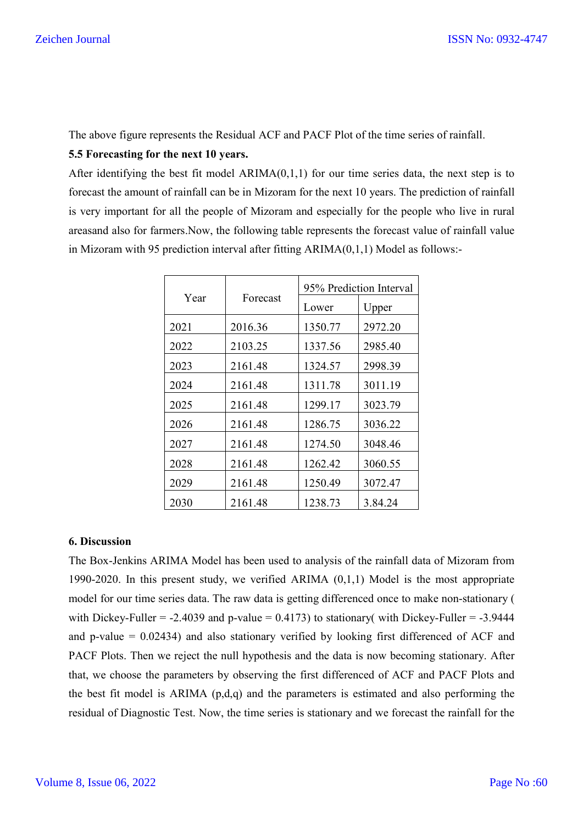The above figure represents the Residual ACF and PACF Plot of the time series of rainfall.

### **5.5 Forecasting for the next 10 years.**

After identifying the best fit model  $ARIMA(0,1,1)$  for our time series data, the next step is to forecast the amount of rainfall can be in Mizoram for the next 10 years. The prediction of rainfall is very important for all the people of Mizoram and especially for the people who live in rural areasand also for farmers.Now, the following table represents the forecast value of rainfall value in Mizoram with 95 prediction interval after fitting  $ARIMA(0,1,1)$  Model as follows:-

|      |          | 95% Prediction Interval |         |  |
|------|----------|-------------------------|---------|--|
| Year | Forecast | Lower                   | Upper   |  |
| 2021 | 2016.36  | 1350.77                 | 2972.20 |  |
| 2022 | 2103.25  | 1337.56                 | 2985.40 |  |
| 2023 | 2161.48  | 1324.57                 | 2998.39 |  |
| 2024 | 2161.48  | 1311.78                 | 3011.19 |  |
| 2025 | 2161.48  | 1299.17                 | 3023.79 |  |
| 2026 | 2161.48  | 1286.75                 | 3036.22 |  |
| 2027 | 2161.48  | 1274.50                 | 3048.46 |  |
| 2028 | 2161.48  | 1262.42                 | 3060.55 |  |
| 2029 | 2161.48  | 1250.49                 | 3072.47 |  |
| 2030 | 2161.48  | 1238.73                 | 3.84.24 |  |

#### **6. Discussion**

The Box-Jenkins ARIMA Model has been used to analysis of the rainfall data of Mizoram from 1990-2020. In this present study, we verified ARIMA (0,1,1) Model is the most appropriate model for our time series data. The raw data is getting differenced once to make non-stationary ( with Dickey-Fuller =  $-2.4039$  and p-value = 0.4173) to stationary( with Dickey-Fuller =  $-3.9444$ and p-value  $= 0.02434$ ) and also stationary verified by looking first differenced of ACF and PACF Plots. Then we reject the null hypothesis and the data is now becoming stationary. After that, we choose the parameters by observing the first differenced of ACF and PACF Plots and the best fit model is ARIMA  $(p,d,q)$  and the parameters is estimated and also performing the residual of Diagnostic Test. Now, the time series is stationary and we forecast the rainfall for the